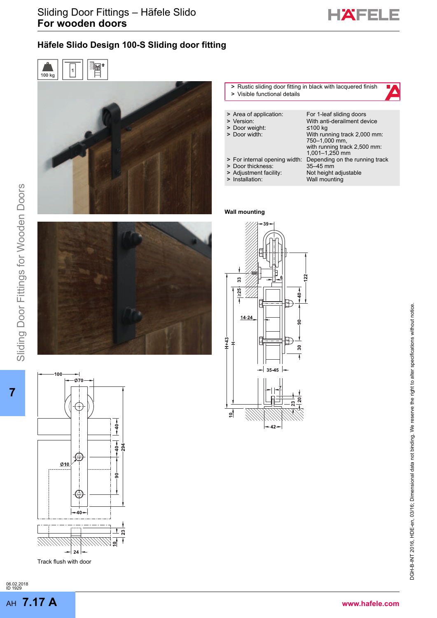

 $\blacktriangle$ 

# Häfele Slido Design 100-S Sliding door fitting





### **>** Rustic sliding door fitting in black with lacquered finish **>** Visible functional details

| > Area of application:        | For 1-leaf sliding doors       |
|-------------------------------|--------------------------------|
|                               | With anti-derailment device    |
|                               | ≤100 kg                        |
| > Door width:                 | With running track 2,000 mm:   |
|                               | 750-1,000 mm,                  |
|                               | with running track 2,500 mm:   |
|                               | 1,001-1,250 mm                 |
| > For internal opening width: | Depending on the running track |
| > Door thickness:             | 35-45 mm                       |
| > Adjustment facility:        | Not height adjustable          |
| > Installation:               | Wall mounting                  |
|                               | > Version:<br>> Door weight:   |

#### **Wall mounting**





**7**

10  $-0.70$ G  $\underline{\emptyset}10$ 



Track flush with door

06.02.2018 ID 1929 AH **7.17 A**